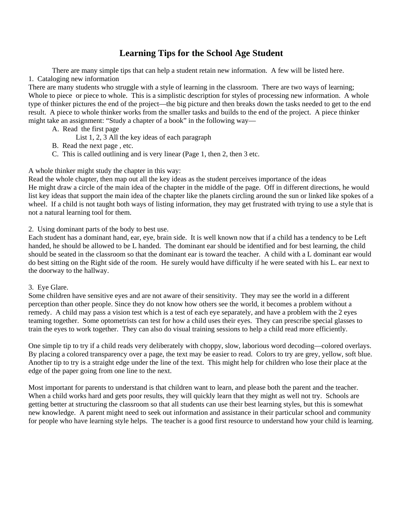## **Learning Tips for the School Age Student**

 There are many simple tips that can help a student retain new information. A few will be listed here. 1. Cataloging new information

There are many students who struggle with a style of learning in the classroom. There are two ways of learning; Whole to piece or piece to whole. This is a simplistic description for styles of processing new information. A whole type of thinker pictures the end of the project—the big picture and then breaks down the tasks needed to get to the end result. A piece to whole thinker works from the smaller tasks and builds to the end of the project. A piece thinker might take an assignment: "Study a chapter of a book" in the following way—

- A. Read the first page
	- List 1, 2, 3 All the key ideas of each paragraph
- B. Read the next page , etc.
- C. This is called outlining and is very linear (Page 1, then 2, then 3 etc.

## A whole thinker might study the chapter in this way:

Read the whole chapter, then map out all the key ideas as the student perceives importance of the ideas He might draw a circle of the main idea of the chapter in the middle of the page. Off in different directions, he would list key ideas that support the main idea of the chapter like the planets circling around the sun or linked like spokes of a wheel. If a child is not taught both ways of listing information, they may get frustrated with trying to use a style that is not a natural learning tool for them.

## 2. Using dominant parts of the body to best use.

Each student has a dominant hand, ear, eye, brain side. It is well known now that if a child has a tendency to be Left handed, he should be allowed to be L handed. The dominant ear should be identified and for best learning, the child should be seated in the classroom so that the dominant ear is toward the teacher. A child with a L dominant ear would do best sitting on the Right side of the room. He surely would have difficulty if he were seated with his L. ear next to the doorway to the hallway.

#### 3. Eye Glare.

Some children have sensitive eyes and are not aware of their sensitivity. They may see the world in a different perception than other people. Since they do not know how others see the world, it becomes a problem without a remedy. A child may pass a vision test which is a test of each eye separately, and have a problem with the 2 eyes teaming together. Some optometrists can test for how a child uses their eyes. They can prescribe special glasses to train the eyes to work together. They can also do visual training sessions to help a child read more efficiently.

One simple tip to try if a child reads very deliberately with choppy, slow, laborious word decoding—colored overlays. By placing a colored transparency over a page, the text may be easier to read. Colors to try are grey, yellow, soft blue. Another tip to try is a straight edge under the line of the text. This might help for children who lose their place at the edge of the paper going from one line to the next.

Most important for parents to understand is that children want to learn, and please both the parent and the teacher. When a child works hard and gets poor results, they will quickly learn that they might as well not try. Schools are getting better at structuring the classroom so that all students can use their best learning styles, but this is somewhat new knowledge. A parent might need to seek out information and assistance in their particular school and community for people who have learning style helps. The teacher is a good first resource to understand how your child is learning.